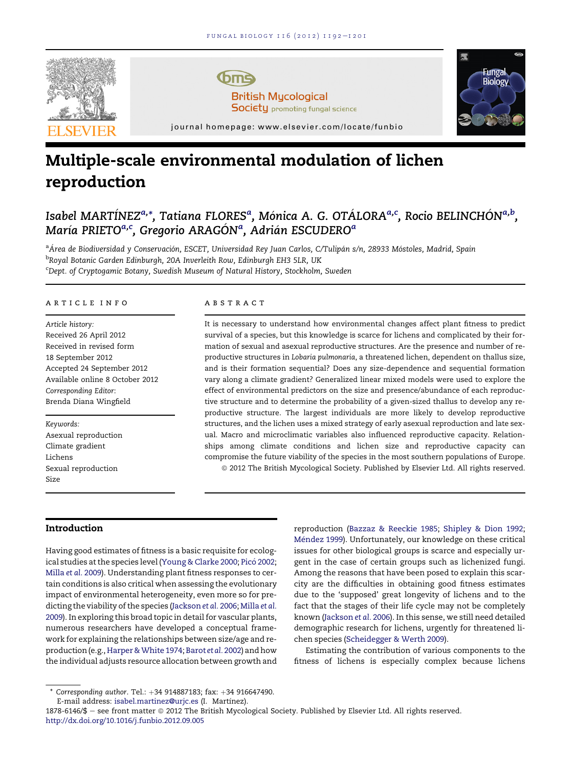

# Multiple-scale environmental modulation of lichen reproduction

# Isabel MARTÍNEZ<sup>a,</sup>\*, Tatiana FLORESª, Mónica A. G. OTÁLORAª<sup>,c</sup>, Rocio BELINCHÓN<sup>a,b</sup>, María PRIETO $^{a,c}$ , Gregorio ARAGÓN $^a$ , Adrián ESCUDERO $^a$

<sup>a</sup>Área de Biodiversidad y Conservación, ESCET, Universidad Rey Juan Carlos, C/Tulipán s/n, 28933 Móstoles, Madrid, Spain <sup>b</sup>Royal Botanic Garden Edinburgh, 20A Inverleith Row, Edinburgh EH3 5LR, UK <sup>c</sup>Dept. of Cryptogamic Botany, Swedish Museum of Natural History, Stockholm, Sweden

#### article info

Article history: Received 26 April 2012 Received in revised form 18 September 2012 Accepted 24 September 2012 Available online 8 October 2012 Corresponding Editor: Brenda Diana Wingfield

Keywords: Asexual reproduction Climate gradient Lichens Sexual reproduction Size

#### **ABSTRACT**

It is necessary to understand how environmental changes affect plant fitness to predict survival of a species, but this knowledge is scarce for lichens and complicated by their formation of sexual and asexual reproductive structures. Are the presence and number of reproductive structures in Lobaria pulmonaria, a threatened lichen, dependent on thallus size, and is their formation sequential? Does any size-dependence and sequential formation vary along a climate gradient? Generalized linear mixed models were used to explore the effect of environmental predictors on the size and presence/abundance of each reproductive structure and to determine the probability of a given-sized thallus to develop any reproductive structure. The largest individuals are more likely to develop reproductive structures, and the lichen uses a mixed strategy of early asexual reproduction and late sexual. Macro and microclimatic variables also influenced reproductive capacity. Relationships among climate conditions and lichen size and reproductive capacity can compromise the future viability of the species in the most southern populations of Europe. ª 2012 The British Mycological Society. Published by Elsevier Ltd. All rights reserved.

# Introduction

Having good estimates of fitness is a basic requisite for ecolog-ical studies at the species level [\(Young & Clarke 2000;](#page-9-0) Picó 2002; [Milla](#page-9-0) et al. 2009). Understanding plant fitness responses to certain conditions is also critical when assessing the evolutionary impact of environmental heterogeneity, even more so for predicting the viability of the species [\(Jackson](#page-8-0) et al. 2006; [Milla](#page-9-0) et al. [2009\)](#page-9-0). In exploring this broad topic in detail for vascular plants, numerous researchers have developed a conceptual framework for explaining the relationships between size/age and re-production (e.g., Harper & White 1974; [Barot](#page-8-0) et al. 2002) and how the individual adjusts resource allocation between growth and

Estimating the contribution of various components to the fitness of lichens is especially complex because lichens

1878-6146/\$ - see front matter © 2012 The British Mycological Society. Published by Elsevier Ltd. All rights reserved. <http://dx.doi.org/10.1016/j.funbio.2012.09.005>

reproduction [\(Bazzaz & Reeckie 1985;](#page-8-0) [Shipley & Dion 1992](#page-9-0); Méndez 1999). Unfortunately, our knowledge on these critical issues for other biological groups is scarce and especially urgent in the case of certain groups such as lichenized fungi. Among the reasons that have been posed to explain this scarcity are the difficulties in obtaining good fitness estimates due to the 'supposed' great longevity of lichens and to the fact that the stages of their life cycle may not be completely known ([Jackson](#page-8-0) et al. 2006). In this sense, we still need detailed demographic research for lichens, urgently for threatened lichen species [\(Scheidegger & Werth 2009\)](#page-9-0).

Corresponding author. Tel.: +34 914887183; fax: +34 916647490. E-mail address: [isabel.martinez@urjc.es](mailto:isabel.martinez@urjc.es) (I. Martínez).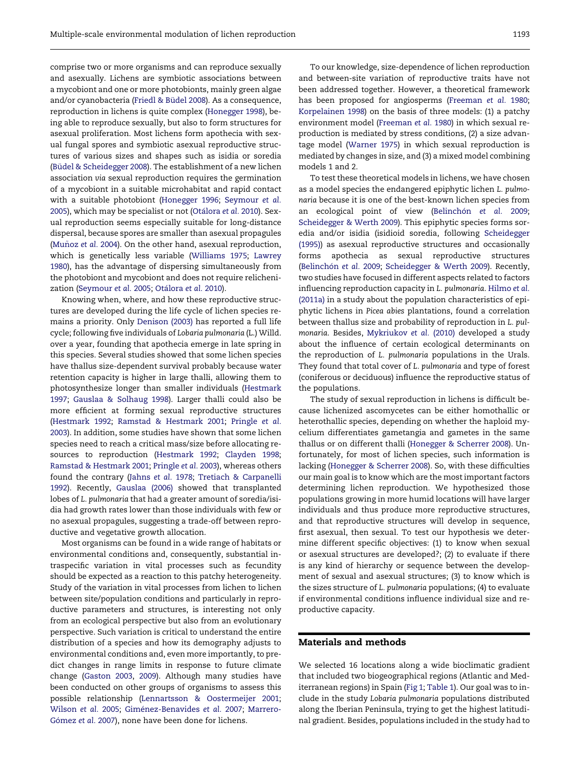comprise two or more organisms and can reproduce sexually and asexually. Lichens are symbiotic associations between a mycobiont and one or more photobionts, mainly green algae and/or cyanobacteria (Friedl & Büdel 2008). As a consequence, reproduction in lichens is quite complex ([Honegger 1998\)](#page-8-0), being able to reproduce sexually, but also to form structures for asexual proliferation. Most lichens form apothecia with sexual fungal spores and symbiotic asexual reproductive structures of various sizes and shapes such as isidia or soredia (Büdel & Scheidegger 2008). The establishment of a new lichen association via sexual reproduction requires the germination of a mycobiont in a suitable microhabitat and rapid contact with a suitable photobiont [\(Honegger 1996](#page-8-0); [Seymour](#page-9-0) et al. [2005](#page-9-0)), which may be specialist or not [\(Ot](#page-9-0)alora et al. [2010](#page-9-0)). Sexual reproduction seems especially suitable for long-distance dispersal, because spores are smaller than asexual propagules (Muñoz [et al.](#page-9-0) 2004). On the other hand, asexual reproduction, which is genetically less variable [\(Williams 1975;](#page-9-0) [Lawrey](#page-8-0) [1980](#page-8-0)), has the advantage of dispersing simultaneously from the photobiont and mycobiont and does not require relichenization [\(Seymour](#page-9-0) et al. 2005; [Ota](#page-9-0)lora et al. [2010\)](#page-9-0).

Knowing when, where, and how these reproductive structures are developed during the life cycle of lichen species remains a priority. Only [Denison \(2003\)](#page-8-0) has reported a full life cycle; following five individuals of Lobaria pulmonaria (L.) Willd. over a year, founding that apothecia emerge in late spring in this species. Several studies showed that some lichen species have thallus size-dependent survival probably because water retention capacity is higher in large thalli, allowing them to photosynthesize longer than smaller individuals ([Hestmark](#page-8-0) [1997](#page-8-0); [Gauslaa & Solhaug 1998](#page-8-0)). Larger thalli could also be more efficient at forming sexual reproductive structures [\(Hestmark 1992;](#page-8-0) [Ramstad & Hestmark 2001](#page-9-0); [Pringle](#page-9-0) et al. [2003](#page-9-0)). In addition, some studies have shown that some lichen species need to reach a critical mass/size before allocating resources to reproduction ([Hestmark 1992](#page-8-0); [Clayden 1998;](#page-8-0) [Ramstad & Hestmark 2001](#page-9-0); [Pringle](#page-9-0) et al. 2003), whereas others found the contrary [\(Jahns](#page-8-0) et al. 1978; [Tretiach & Carpanelli](#page-9-0) [1992](#page-9-0)). Recently, [Gauslaa \(2006\)](#page-8-0) showed that transplanted lobes of L. pulmonaria that had a greater amount of soredia/isidia had growth rates lower than those individuals with few or no asexual propagules, suggesting a trade-off between reproductive and vegetative growth allocation.

Most organisms can be found in a wide range of habitats or environmental conditions and, consequently, substantial intraspecific variation in vital processes such as fecundity should be expected as a reaction to this patchy heterogeneity. Study of the variation in vital processes from lichen to lichen between site/population conditions and particularly in reproductive parameters and structures, is interesting not only from an ecological perspective but also from an evolutionary perspective. Such variation is critical to understand the entire distribution of a species and how its demography adjusts to environmental conditions and, even more importantly, to predict changes in range limits in response to future climate change [\(Gaston 2003,](#page-8-0) [2009\)](#page-8-0). Although many studies have been conducted on other groups of organisms to assess this possible relationship [\(Lennartsson & Oostermeijer 2001;](#page-8-0) [Wilson](#page-9-0) et al. 2005; [Gim](#page-8-0)é[nez-Benavides](#page-8-0) et al. 2007; [Marrero-](#page-8-0)Gómez et al. [2007\)](#page-8-0), none have been done for lichens.

To our knowledge, size-dependence of lichen reproduction and between-site variation of reproductive traits have not been addressed together. However, a theoretical framework has been proposed for angiosperms ([Freeman](#page-8-0) et al. 1980; [Korpelainen 1998](#page-8-0)) on the basis of three models: (1) a patchy environment model ([Freeman](#page-8-0) et al. 1980) in which sexual reproduction is mediated by stress conditions, (2) a size advantage model [\(Warner 1975](#page-9-0)) in which sexual reproduction is mediated by changes in size, and (3) a mixed model combining models 1 and 2.

To test these theoretical models in lichens, we have chosen as a model species the endangered epiphytic lichen L. pulmonaria because it is one of the best-known lichen species from an ecological point of view (Belinchón [et al.](#page-8-0) 2009; [Scheidegger & Werth 2009](#page-9-0)). This epiphytic species forms soredia and/or isidia (isidioid soredia, following [Scheidegger](#page-9-0) [\(1995\)](#page-9-0)) as asexual reproductive structures and occasionally forms apothecia as sexual reproductive structures [\(Belinch](#page-8-0)ón [et al.](#page-8-0) 2009; [Scheidegger & Werth 2009](#page-9-0)). Recently, two studies have focused in different aspects related to factors influencing reproduction capacity in L. pulmonaria. [Hilmo](#page-8-0) et al. [\(2011a\)](#page-8-0) in a study about the population characteristics of epiphytic lichens in Picea abies plantations, found a correlation between thallus size and probability of reproduction in L. pulmonaria. Besides, [Mykriukov](#page-9-0) et al. (2010) developed a study about the influence of certain ecological determinants on the reproduction of L. pulmonaria populations in the Urals. They found that total cover of L. pulmonaria and type of forest (coniferous or deciduous) influence the reproductive status of the populations.

The study of sexual reproduction in lichens is difficult because lichenized ascomycetes can be either homothallic or heterothallic species, depending on whether the haploid mycelium differentiates gametangia and gametes in the same thallus or on different thalli [\(Honegger & Scherrer 2008](#page-8-0)). Unfortunately, for most of lichen species, such information is lacking ([Honegger & Scherrer 2008\)](#page-8-0). So, with these difficulties our main goal is to know which are the most important factors determining lichen reproduction. We hypothesized those populations growing in more humid locations will have larger individuals and thus produce more reproductive structures, and that reproductive structures will develop in sequence, first asexual, then sexual. To test our hypothesis we determine different specific objectives: (1) to know when sexual or asexual structures are developed?; (2) to evaluate if there is any kind of hierarchy or sequence between the development of sexual and asexual structures; (3) to know which is the sizes structure of L. pulmonaria populations; (4) to evaluate if environmental conditions influence individual size and reproductive capacity.

# Materials and methods

We selected 16 locations along a wide bioclimatic gradient that included two biogeographical regions (Atlantic and Mediterranean regions) in Spain [\(Fig 1;](#page-2-0) [Table 1](#page-2-0)). Our goal was to include in the study Lobaria pulmonaria populations distributed along the Iberian Peninsula, trying to get the highest latitudinal gradient. Besides, populations included in the study had to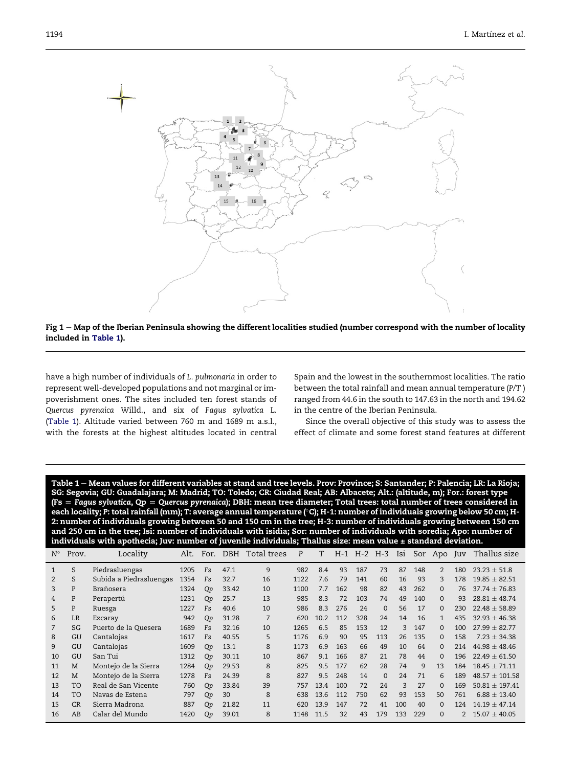<span id="page-2-0"></span>



have a high number of individuals of L. pulmonaria in order to represent well-developed populations and not marginal or impoverishment ones. The sites included ten forest stands of Quercus pyrenaica Willd., and six of Fagus sylvatica L. (Table 1). Altitude varied between 760 m and 1689 m a.s.l., with the forests at the highest altitudes located in central Spain and the lowest in the southernmost localities. The ratio between the total rainfall and mean annual temperature (P/T ) ranged from 44.6 in the south to 147.63 in the north and 194.62 in the centre of the Iberian Peninsula.

Since the overall objective of this study was to assess the effect of climate and some forest stand features at different

Table 1 – Mean values for different variables at stand and tree levels. Prov: Province; S: Santander; P: Palencia; LR: La Rioja; SG: Segovia; GU: Guadalajara; M: Madrid; TO: Toledo; CR: Ciudad Real; AB: Albacete; Alt.: (altitude, m); For.: forest type (Fs  $=$  Fagus sylvatica, Qp  $=$  Quercus pyrenaica); DBH: mean tree diameter; Total trees: total number of trees considered in each locality; P: total rainfall (mm); T: average annual temperature (°C); H-1: number of individuals growing below 50 cm; H-<br>2: number of individuals growing between 50 and 150 cm in the tree; H-3; number of individuals g 2: number of individuals growing between 50 and 150 cm in the tree; H-3: number of individuals growing between 150 cm and 250 cm in the tree; Isi: number of individuals with isidia; Sor: number of individuals with soredia; Apo: number of individuals with apothecia; Juv: number of juvenile individuals; Thallus size: mean value ± standard deviation

| $N^{\circ}$   | Prov.     | Locality                | Alt. | For.      |       | DBH Total trees | P    | T    |     | $H-1$ $H-2$ $H-3$ |          | Isi |     | Sor Apo Juv |                | Thallus size       |
|---------------|-----------|-------------------------|------|-----------|-------|-----------------|------|------|-----|-------------------|----------|-----|-----|-------------|----------------|--------------------|
|               | S         | Piedrasluengas          | 1205 | Fs        | 47.1  | 9               | 982  | 8.4  | 93  | 187               | 73       | 87  | 148 | 2           | 180            | $23.23 \pm 51.8$   |
| $\mathcal{P}$ | S         | Subida a Piedrasluengas | 1354 | Fs        | 32.7  | 16              | 1122 | 7.6  | 79  | 141               | 60       | 16  | 93  | 3           | 178            | $19.85 \pm 82.51$  |
| 3             | P         | Brañosera               | 1324 | <b>Qp</b> | 33.42 | 10              | 1100 | 7.7  | 162 | 98                | 82       | 43  | 262 | $\Omega$    | 76             | $37.74 + 76.83$    |
| 4             | P         | Perapertú               | 1231 | Qp        | 25.7  | 13              | 985  | 8.3  | 72  | 103               | 74       | 49  | 140 | 0           | 93             | $28.81 + 48.74$    |
| 5             | P         | Ruesga                  | 1227 | Fs        | 40.6  | 10              | 986  | 83   | 276 | 24                | $\Omega$ | 56  | 17  | 0           | 230            | $22.48 \pm 58.89$  |
| 6             | LR        | Ezcaray                 | 942  | Qp        | 31.28 | 7               | 620  | 10.2 | 112 | 328               | 24       | 14  | 16  | 1           | 435            | $32.93 \pm 46.38$  |
|               | SG        | Puerto de la Quesera    | 1689 | Fs        | 32.16 | 10              | 1265 | 6.5  | 85  | 153               | 12       | 3   | 147 | 0           | 100            | $27.99 + 82.77$    |
| 8             | GU        | Cantalojas              | 1617 | Fs        | 40.55 | 5               | 1176 | 6.9  | 90  | 95                | 113      | 26  | 135 | $\Omega$    | 158            | $7.23 + 34.38$     |
| 9             | GU        | Cantalojas              | 1609 | Qp        | 13.1  | 8               | 1173 | 6.9  | 163 | 66                | 49       | 10  | 64  | $\Omega$    | 214            | $44.98 \pm 48.46$  |
| 10            | GU        | San Tui                 | 1312 | Qp        | 30.11 | 10              | 867  | 91   | 166 | 87                | 21       | 78  | 44  | 0           | 196            | $22.49 \pm 61.50$  |
| 11            | M         | Montejo de la Sierra    | 1284 | Qp        | 29.53 | 8               | 825  | 95   | 177 | 62                | 28       | 74  | 9   | 13          | 184            | $18.45 \pm 71.11$  |
| 12            | M         | Montejo de la Sierra    | 1278 | Fs        | 24.39 | 8               | 827  | 9.5  | 248 | 14                | $\Omega$ | 24  | 71  | 6           | 189            | $48.57 \pm 101.58$ |
| 13            | <b>TO</b> | Real de San Vicente     | 760  | Qp        | 33.84 | 39              | 757  | 13.4 | 100 | 72                | 24       | 3   | 27  | $\Omega$    | 169            | $50.81 \pm 197.41$ |
| 14            | <b>TO</b> | Navas de Estena         | 797  | Qp        | 30    | 8               | 638  | 13.6 | 112 | 750               | 62       | 93  | 153 | 50          | 761            | $6.88 \pm 13.40$   |
| 15            | CR        | Sierra Madrona          | 887  | Qp        | 21.82 | 11              | 620  | 13.9 | 147 | 72                | 41       | 100 | 40  | $\Omega$    | 124            | $14.19 \pm 47.14$  |
| 16            | AB        | Calar del Mundo         | 1420 | <b>Qp</b> | 39.01 | 8               | 1148 | 11.5 | 32  | 43                | 179      | 133 | 229 | $\Omega$    | $\mathfrak{D}$ | $15.07 \pm 40.05$  |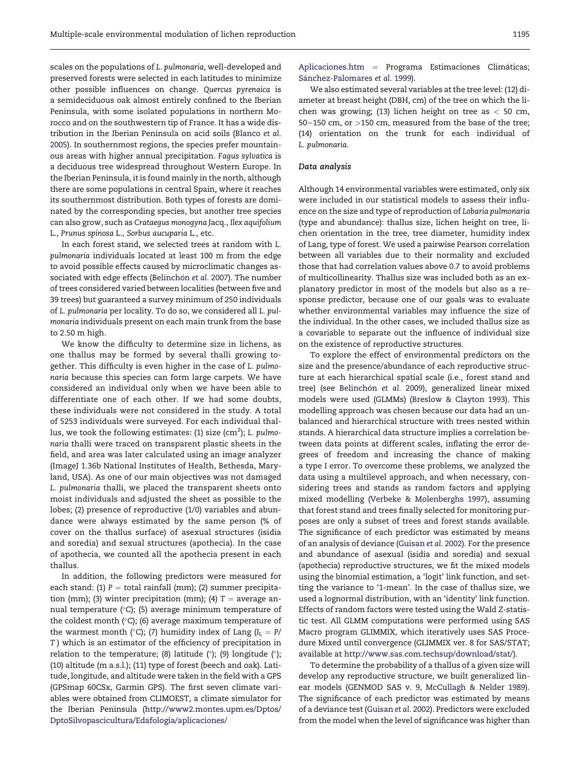scales on the populations of L. pulmonaria, well-developed and preserved forests were selected in each latitudes to minimize other possible influences on change. Quercus pyrenaica is a semideciduous oak almost entirely confined to the Iberian Peninsula, with some isolated populations in northern Morocco and on the southwestern tip of France. It has a wide distribution in the Iberian Peninsula on acid soils [\(Blanco](#page-8-0) et al. [2005](#page-8-0)). In southernmost regions, the species prefer mountainous areas with higher annual precipitation. Fagus sylvatica is a deciduous tree widespread throughout Western Europe. In the Iberian Peninsula, it is found mainly in the north, although there are some populations in central Spain, where it reaches its southernmost distribution. Both types of forests are dominated by the corresponding species, but another tree species can also grow, such as Crataegus monogyna Jacq., Ilex aquifolium L., Prunus spinosa L., Sorbus aucuparia L., etc.

In each forest stand, we selected trees at random with L. pulmonaria individuals located at least 100 m from the edge to avoid possible effects caused by microclimatic changes as-sociated with edge effects [\(Belinch](#page-8-0)ón [et al.](#page-8-0) 2007). The number of trees considered varied between localities (between five and 39 trees) but guaranteed a survey minimum of 250 individuals of L. pulmonaria per locality. To do so, we considered all L. pulmonaria individuals present on each main trunk from the base to 2.50 m high.

We know the difficulty to determine size in lichens, as one thallus may be formed by several thalli growing together. This difficulty is even higher in the case of L. pulmonaria because this species can form large carpets. We have considered an individual only when we have been able to differentiate one of each other. If we had some doubts, these individuals were not considered in the study. A total of 5253 individuals were surveyed. For each individual thallus, we took the following estimates: (1) size (cm $^2$ ); L.  $p$ ulmonaria thalli were traced on transparent plastic sheets in the field, and area was later calculated using an image analyzer (ImageJ 1.36b National Institutes of Health, Bethesda, Maryland, USA). As one of our main objectives was not damaged L. pulmonaria thalli, we placed the transparent sheets onto moist individuals and adjusted the sheet as possible to the lobes; (2) presence of reproductive (1/0) variables and abundance were always estimated by the same person (% of cover on the thallus surface) of asexual structures (isidia and soredia) and sexual structures (apothecia). In the case of apothecia, we counted all the apothecia present in each thallus.

In addition, the following predictors were measured for each stand: (1)  $P =$  total rainfall (mm); (2) summer precipitation (mm); (3) winter precipitation (mm); (4)  $T =$  average annual temperature (°C); (5) average minimum temperature of the coldest month (°C); (6) average maximum temperature of the warmest month (°C); (7) humidity index of Lang (I $_{\rm L}$  = P/ T ) which is an estimator of the efficiency of precipitation in relation to the temperature; (8) latitude (°); (9) longitude (°); (10) altitude (m a.s.l.); (11) type of forest (beech and oak). Latitude, longitude, and altitude were taken in the field with a GPS (GPSmap 60CSx, Garmin GPS). The first seven climate variables were obtained from CLIMOEST, a climate simulator for the Iberian Peninsula ([http://www2.montes.upm.es/Dptos/](http://www2.montes.upm.es/Dptos/DptoSilvopascicultura/Edafologia/aplicaciones/Aplicaciones.htm) [DptoSilvopascicultura/Edafologia/aplicaciones/](http://www2.montes.upm.es/Dptos/DptoSilvopascicultura/Edafologia/aplicaciones/Aplicaciones.htm)

[Aplicaciones.htm](http://www2.montes.upm.es/Dptos/DptoSilvopascicultura/Edafologia/aplicaciones/Aplicaciones.htm) = Programa Estimaciones Climáticas; Sánchez-Palomares et al. 1999).

We also estimated several variables at the tree level: (12) diameter at breast height (DBH, cm) of the tree on which the lichen was growing; (13) lichen height on tree as  $<$  50 cm, 50 $-150$  cm, or  $>150$  cm, measured from the base of the tree; (14) orientation on the trunk for each individual of L. pulmonaria.

#### Data analysis

Although 14 environmental variables were estimated, only six were included in our statistical models to assess their influence on the size and type of reproduction of Lobaria pulmonaria (type and abundance): thallus size, lichen height on tree, lichen orientation in the tree, tree diameter, humidity index of Lang, type of forest. We used a pairwise Pearson correlation between all variables due to their normality and excluded those that had correlation values above 0.7 to avoid problems of multicollinearity. Thallus size was included both as an explanatory predictor in most of the models but also as a response predictor, because one of our goals was to evaluate whether environmental variables may influence the size of the individual. In the other cases, we included thallus size as a covariable to separate out the influence of individual size on the existence of reproductive structures.

To explore the effect of environmental predictors on the size and the presence/abundance of each reproductive structure at each hierarchical spatial scale (i.e., forest stand and tree) (see [Belinch](#page-8-0)ón [et al.](#page-8-0) 2009), generalized linear mixed models were used (GLMMs) [\(Breslow & Clayton 1993](#page-8-0)). This modelling approach was chosen because our data had an unbalanced and hierarchical structure with trees nested within stands. A hierarchical data structure implies a correlation between data points at different scales, inflating the error degrees of freedom and increasing the chance of making a type I error. To overcome these problems, we analyzed the data using a multilevel approach, and when necessary, considering trees and stands as random factors and applying mixed modelling [\(Verbeke & Molenberghs 1997](#page-9-0)), assuming that forest stand and trees finally selected for monitoring purposes are only a subset of trees and forest stands available. The significance of each predictor was estimated by means of an analysis of deviance [\(Guisan](#page-8-0) et al. 2002). For the presence and abundance of asexual (isidia and soredia) and sexual (apothecia) reproductive structures, we fit the mixed models using the binomial estimation, a 'logit' link function, and setting the variance to '1-mean'. In the case of thallus size, we used a lognormal distribution, with an 'identity' link function. Effects of random factors were tested using the Wald Z-statistic test. All GLMM computations were performed using SAS Macro program GLIMMIX, which iteratively uses SAS Procedure Mixed until convergence (GLIMMIX ver. 8 for SAS/STAT; available at [http://www.sas.com.techsup/download/stat/\)](http://www.sas.com.techsup/download/stat/).

To determine the probability of a thallus of a given size will develop any reproductive structure, we built generalized linear models (GENMOD SAS v. 9, [McCullagh & Nelder 1989](#page-8-0)). The significance of each predictor was estimated by means of a deviance test ([Guisan](#page-8-0) et al. 2002). Predictors were excluded from the model when the level of significance was higher than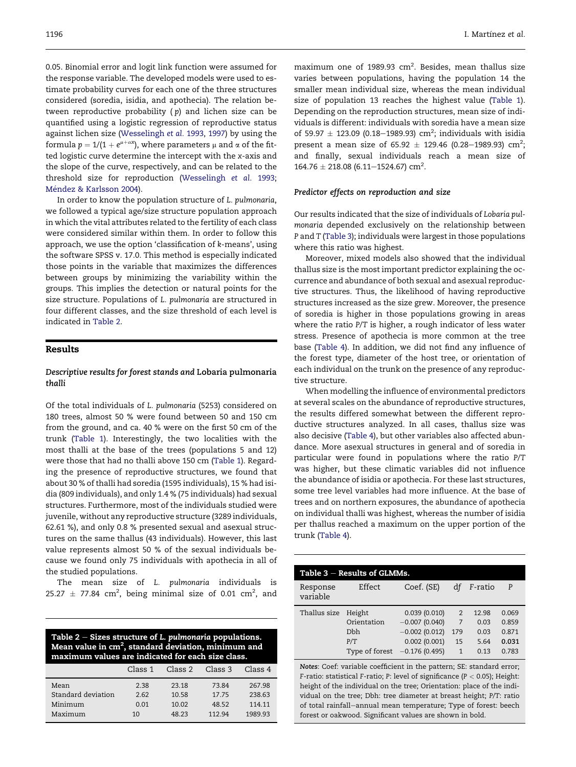0.05. Binomial error and logit link function were assumed for the response variable. The developed models were used to estimate probability curves for each one of the three structures considered (soredia, isidia, and apothecia). The relation between reproductive probability  $(p)$  and lichen size can be quantified using a logistic regression of reproductive status against lichen size ([Wesselingh](#page-9-0) et al. 1993, [1997\)](#page-9-0) by using the formula  $p = 1/(1 + e^{\mu + \alpha x})$ , where parameters  $\mu$  and  $\alpha$  of the fitted logistic curve determine the intercept with the x-axis and the slope of the curve, respectively, and can be related to the threshold size for reproduction [\(Wesselingh](#page-9-0) et al. 1993; Méndez & Karlsson 2004).

In order to know the population structure of L. pulmonaria, we followed a typical age/size structure population approach in which the vital attributes related to the fertility of each class were considered similar within them. In order to follow this approach, we use the option 'classification of k-means', using the software SPSS v. 17.0. This method is especially indicated those points in the variable that maximizes the differences between groups by minimizing the variability within the groups. This implies the detection or natural points for the size structure. Populations of L. pulmonaria are structured in four different classes, and the size threshold of each level is indicated in Table 2.

# Results

### Descriptive results for forest stands and Lobaria pulmonaria thalli

Of the total individuals of L. pulmonaria (5253) considered on 180 trees, almost 50 % were found between 50 and 150 cm from the ground, and ca. 40 % were on the first 50 cm of the trunk [\(Table 1](#page-2-0)). Interestingly, the two localities with the most thalli at the base of the trees (populations 5 and 12) were those that had no thalli above 150 cm [\(Table 1](#page-2-0)). Regarding the presence of reproductive structures, we found that about 30 % of thalli had soredia (1595 individuals), 15 % had isidia (809 individuals), and only 1.4 % (75 individuals) had sexual structures. Furthermore, most of the individuals studied were juvenile, without any reproductive structure (3289 individuals, 62.61 %), and only 0.8 % presented sexual and asexual structures on the same thallus (43 individuals). However, this last value represents almost 50 % of the sexual individuals because we found only 75 individuals with apothecia in all of the studied populations.

The mean size of L. pulmonaria individuals is  $25.27 \pm 77.84 \text{ cm}^2$ , being minimal size of 0.01 cm<sup>2</sup>, and

Table  $2 -$  Sizes structure of L. pulmonaria populations. Mean value in cm $^2$ , standard deviation, minimum and maximum values are indicated for each size class.

|                    | Class 1 | Class 2 | Class 3 | Class 4 |
|--------------------|---------|---------|---------|---------|
| Mean               | 2.38    | 23.18   | 73.84   | 267.98  |
| Standard deviation | 2.62    | 10.58   | 17.75   | 238.63  |
| Minimum            | 0.01    | 10.02   | 48.52   | 114.11  |
| Maximum            | 10      | 48.23   | 112 94  | 1989.93 |

maximum one of 1989.93  $cm<sup>2</sup>$ . Besides, mean thallus size varies between populations, having the population 14 the smaller mean individual size, whereas the mean individual size of population 13 reaches the highest value [\(Table 1\)](#page-2-0). Depending on the reproduction structures, mean size of individuals is different: individuals with soredia have a mean size of 59.97  $\pm$  123.09 (0.18–1989.93) cm<sup>2</sup>; individuals with isidia present a mean size of  $65.92 \pm 129.46$  (0.28–1989.93) cm<sup>2</sup>; and finally, sexual individuals reach a mean size of  $164.76 \pm 218.08$  (6.11–1524.67) cm<sup>2</sup>.

#### Predictor effects on reproduction and size

Our results indicated that the size of individuals of Lobaria pulmonaria depended exclusively on the relationship between P and T (Table 3); individuals were largest in those populations where this ratio was highest.

Moreover, mixed models also showed that the individual thallus size is the most important predictor explaining the occurrence and abundance of both sexual and asexual reproductive structures. Thus, the likelihood of having reproductive structures increased as the size grew. Moreover, the presence of soredia is higher in those populations growing in areas where the ratio P/T is higher, a rough indicator of less water stress. Presence of apothecia is more common at the tree base ([Table 4\)](#page-5-0). In addition, we did not find any influence of the forest type, diameter of the host tree, or orientation of each individual on the trunk on the presence of any reproductive structure.

When modelling the influence of environmental predictors at several scales on the abundance of reproductive structures, the results differed somewhat between the different reproductive structures analyzed. In all cases, thallus size was also decisive [\(Table 4](#page-5-0)), but other variables also affected abundance. More asexual structures in general and of soredia in particular were found in populations where the ratio P/T was higher, but these climatic variables did not influence the abundance of isidia or apothecia. For these last structures, some tree level variables had more influence. At the base of trees and on northern exposures, the abundance of apothecia on individual thalli was highest, whereas the number of isidia per thallus reached a maximum on the upper portion of the trunk ([Table 4\)](#page-5-0).

| Table $3$ – Results of GLMMs. |                |                 |     |         |       |  |  |  |  |
|-------------------------------|----------------|-----------------|-----|---------|-------|--|--|--|--|
| Response<br>variable          | Effect         | Coef. (SE)      | df  | F-ratio | P     |  |  |  |  |
| Thallus size                  | Height         | 0.039(0.010)    | 2   | 12.98   | 0.069 |  |  |  |  |
|                               | Orientation    | $-0.007(0.040)$ | 7   | 0.03    | 0.859 |  |  |  |  |
|                               | <b>D</b> bh    | $-0.002(0.012)$ | 179 | 0.03    | 0.871 |  |  |  |  |
|                               | P/T            | 0.002(0.001)    | 15  | 5.64    | 0.031 |  |  |  |  |
|                               | Type of forest | $-0.176(0.495)$ | 1   | 0.13    | 0.783 |  |  |  |  |

Notes: Coef: variable coefficient in the pattern; SE: standard error; F-ratio: statistical F-ratio; P: level of significance ( $P < 0.05$ ); Height: height of the individual on the tree; Orientation: place of the individual on the tree; Dbh: tree diameter at breast height; P/T: ratio of total rainfall-annual mean temperature; Type of forest: beech forest or oakwood. Significant values are shown in bold.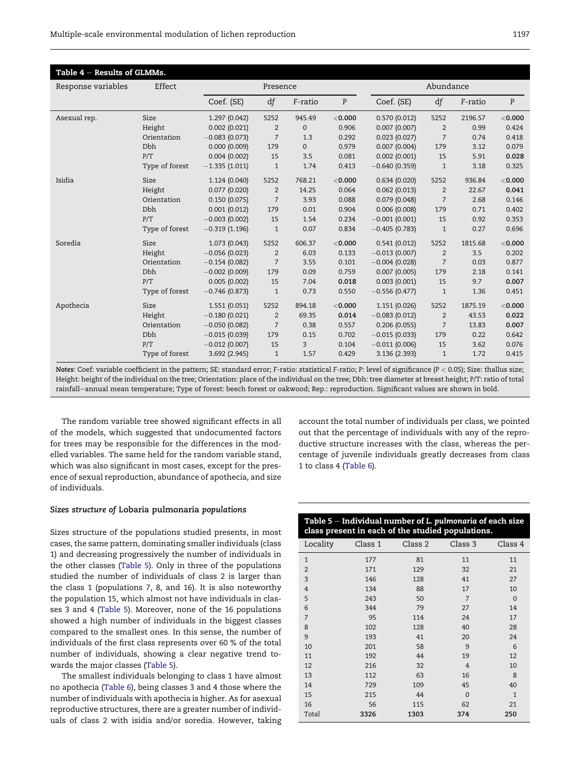<span id="page-5-0"></span>

| Table $4$ – Results of GLMMs. |                |                 |                |              |           |                 |                |         |           |
|-------------------------------|----------------|-----------------|----------------|--------------|-----------|-----------------|----------------|---------|-----------|
| Response variables            | Effect         | Presence        |                |              |           | Abundance       |                |         |           |
|                               |                | Coef. (SE)      | df             | F-ratio      | P         | Coef. (SE)      | df             | F-ratio | P         |
| Asexual rep.                  | Size           | 1.297 (0.042)   | 5252           | 945.49       | $<$ 0.000 | 0.570(0.012)    | 5252           | 2196.57 | $<$ 0.000 |
|                               | Height         | 0.002(0.021)    | $\overline{2}$ | $\mathbf{0}$ | 0.906     | 0.007(0.007)    | 2              | 0.99    | 0.424     |
|                               | Orientation    | $-0.083(0.073)$ | $\overline{7}$ | 1.3          | 0.292     | 0.023(0.027)    | $\overline{7}$ | 0.74    | 0.418     |
|                               | <b>D</b> bh    | 0.000(0.009)    | 179            | $\mathbf{0}$ | 0.979     | 0.007(0.004)    | 179            | 3.12    | 0.079     |
|                               | P/T            | 0.004(0.002)    | 15             | 3.5          | 0.081     | 0.002(0.001)    | 15             | 5.91    | 0.028     |
|                               | Type of forest | $-1.335(1.011)$ | $\mathbf{1}$   | 1.74         | 0.413     | $-0.640(0.359)$ | $\mathbf{1}$   | 3.18    | 0.325     |
| Isidia                        | Size           | 1.124 (0.040)   | 5252           | 768.21       | $<$ 0.000 | 0.634(0.020)    | 5252           | 936.84  | $<$ 0.000 |
|                               | Height         | 0.077(0.020)    | 2              | 14.25        | 0.064     | 0.062(0.013)    | 2              | 22.67   | 0.041     |
|                               | Orientation    | 0.150(0.075)    | $\overline{7}$ | 3.93         | 0.088     | 0.079(0.048)    | $\overline{7}$ | 2.68    | 0.146     |
|                               | <b>Dbh</b>     | 0.001(0.012)    | 179            | 0.01         | 0.904     | 0.006(0.008)    | 179            | 0.71    | 0.402     |
|                               | P/T            | $-0.003(0.002)$ | 15             | 1.54         | 0.234     | $-0.001(0.001)$ | 15             | 0.92    | 0.353     |
|                               | Type of forest | $-0.319(1.196)$ | $\mathbf{1}$   | 0.07         | 0.834     | $-0.405(0.783)$ | $\mathbf{1}$   | 0.27    | 0.696     |
| Soredia                       | Size           | 1.073 (0.043)   | 5252           | 606.37       | < 0.000   | 0.541(0.012)    | 5252           | 1815.68 | $<$ 0.000 |
|                               | Height         | $-0.056(0.023)$ | 2              | 6.03         | 0.133     | $-0.013(0.007)$ | 2              | 3.5     | 0.202     |
|                               | Orientation    | $-0.154(0.082)$ | $\overline{7}$ | 3.55         | 0.101     | $-0.004(0.028)$ | $\overline{7}$ | 0.03    | 0.877     |
|                               | Dbh            | $-0.002(0.009)$ | 179            | 0.09         | 0.759     | 0.007(0.005)    | 179            | 2.18    | 0.141     |
|                               | P/T            | 0.005(0.002)    | 15             | 7.04         | 0.018     | 0.003(0.001)    | 15             | 9.7     | 0.007     |
|                               | Type of forest | $-0.746(0.873)$ | $\mathbf{1}$   | 0.73         | 0.550     | $-0.556(0.477)$ | $\mathbf{1}$   | 1.36    | 0.451     |
| Apothecia                     | Size           | 1.551 (0.051)   | 5252           | 894.18       | $<$ 0.000 | 1.151 (0.026)   | 5252           | 1875.19 | $<$ 0.000 |
|                               | Height         | $-0.180(0.021)$ | $\overline{2}$ | 69.35        | 0.014     | $-0.083(0.012)$ | 2              | 43.53   | 0.022     |
|                               | Orientation    | $-0.050(0.082)$ | $\overline{7}$ | 0.38         | 0.557     | 0.206(0.055)    | 7              | 13.83   | 0.007     |
|                               | <b>Dbh</b>     | $-0.015(0.039)$ | 179            | 0.15         | 0.702     | $-0.015(0.033)$ | 179            | 0.22    | 0.642     |
|                               | P/T            | $-0.012(0.007)$ | 15             | 3            | 0.104     | $-0.011(0.006)$ | 15             | 3.62    | 0.076     |
|                               | Type of forest | 3.692 (2.945)   | $\mathbf{1}$   | 1.57         | 0.429     | 3.136 (2.393)   | $\mathbf{1}$   | 1.72    | 0.415     |

Notes: Coef: variable coefficient in the pattern; SE: standard error; F-ratio: statistical F-ratio; P: level of significance (P < 0.05); Size: thallus size; Height: height of the individual on the tree; Orientation: place of the individual on the tree; Dbh: tree diameter at breast height; P/T: ratio of total rainfalleannual mean temperature; Type of forest: beech forest or oakwood; Rep.: reproduction. Significant values are shown in bold.

The random variable tree showed significant effects in all of the models, which suggested that undocumented factors for trees may be responsible for the differences in the modelled variables. The same held for the random variable stand, which was also significant in most cases, except for the presence of sexual reproduction, abundance of apothecia, and size of individuals.

account the total number of individuals per class, we pointed out that the percentage of individuals with any of the reproductive structure increases with the class, whereas the percentage of juvenile individuals greatly decreases from class 1 to class 4 ([Table 6\)](#page-6-0).

# Sizes structure of Lobaria pulmonaria populations

Sizes structure of the populations studied presents, in most cases, the same pattern, dominating smaller individuals (class 1) and decreasing progressively the number of individuals in the other classes (Table 5). Only in three of the populations studied the number of individuals of class 2 is larger than the class 1 (populations 7, 8, and 16). It is also noteworthy the population 15, which almost not have individuals in classes 3 and 4 (Table 5). Moreover, none of the 16 populations showed a high number of individuals in the biggest classes compared to the smallest ones. In this sense, the number of individuals of the first class represents over 60 % of the total number of individuals, showing a clear negative trend towards the major classes (Table 5).

The smallest individuals belonging to class 1 have almost no apothecia [\(Table 6\)](#page-6-0), being classes 3 and 4 those where the number of individuals with apothecia is higher. As for asexual reproductive structures, there are a greater number of individuals of class 2 with isidia and/or soredia. However, taking

| Table 5 - Individual number of L. pulmonaria of each size<br>class present in each of the studied populations. |      |                 |          |          |  |  |  |  |
|----------------------------------------------------------------------------------------------------------------|------|-----------------|----------|----------|--|--|--|--|
| Locality                                                                                                       |      | Class 1 Class 2 | Class 3  | Class 4  |  |  |  |  |
| $\mathbf{1}$                                                                                                   | 177  | 81              | 11       | 11       |  |  |  |  |
| $\overline{2}$                                                                                                 | 171  | 129             | 32       | 21       |  |  |  |  |
| 3                                                                                                              | 146  | 128             | 41       | 27       |  |  |  |  |
| 4                                                                                                              | 134  | 88              | 17       | 10       |  |  |  |  |
| 5                                                                                                              | 243  | 50              | 7        | $\Omega$ |  |  |  |  |
| 6                                                                                                              | 344  | 79              | 27       | 14       |  |  |  |  |
| 7                                                                                                              | 95   | 114             | 24       | 17       |  |  |  |  |
| 8                                                                                                              | 102  | 128             | 40       | 28       |  |  |  |  |
| 9                                                                                                              | 193  | 41              | 20       | 24       |  |  |  |  |
| 10                                                                                                             | 201  | 58              | 9        | 6        |  |  |  |  |
| 11                                                                                                             | 192  | 44              | 19       | 12       |  |  |  |  |
| 12                                                                                                             | 216  | 32              | 4        | 10       |  |  |  |  |
| 13                                                                                                             | 112  | 63              | 16       | 8        |  |  |  |  |
| 14                                                                                                             | 729  | 109             | 45       | 40       |  |  |  |  |
| 15                                                                                                             | 215  | 44              | $\Omega$ | 1        |  |  |  |  |
| 16                                                                                                             | 56   | 115             | 62       | 21       |  |  |  |  |
| Total                                                                                                          | 3326 | 1303            | 374      | 250      |  |  |  |  |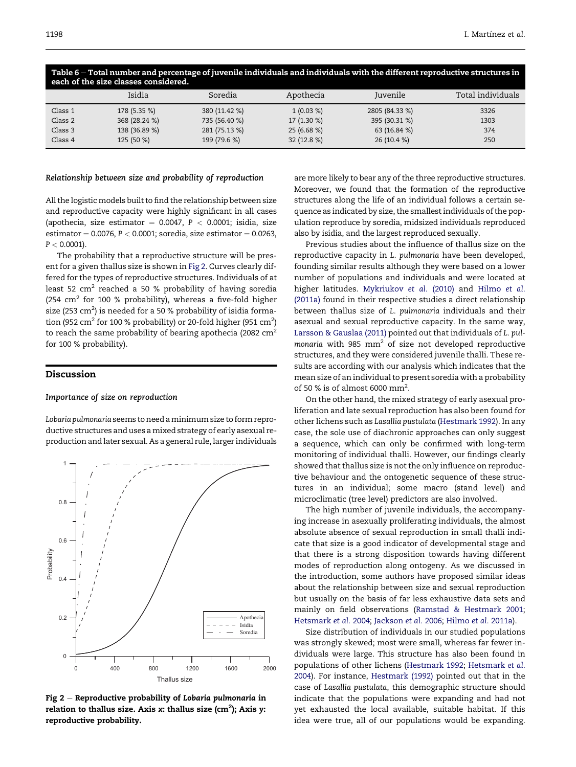| each of the size classes considered. |               |               |              |                |                   |  |  |  |  |
|--------------------------------------|---------------|---------------|--------------|----------------|-------------------|--|--|--|--|
|                                      | Isidia        | Soredia       | Apothecia    | Juvenile       | Total individuals |  |  |  |  |
| Class 1                              | 178 (5.35 %)  | 380 (11.42 %) | $1(0.03\%)$  | 2805 (84.33 %) | 3326              |  |  |  |  |
| Class 2                              | 368 (28.24 %) | 735 (56.40 %) | $17(1.30\%)$ | 395 (30.31 %)  | 1303              |  |  |  |  |
| Class 3                              | 138 (36.89 %) | 281 (75.13 %) | 25(6.68%)    | 63 (16.84 %)   | 374               |  |  |  |  |
| Class 4                              | 125 (50 %)    | 199 (79.6 %)  | 32(12.8%)    | 26 (10.4 %)    | 250               |  |  |  |  |

<span id="page-6-0"></span>Table 6 - Total number and percentage of juvenile individuals and individuals with the different reproductive structures in

#### Relationship between size and probability of reproduction

All the logistic models built to find the relationship between size and reproductive capacity were highly significant in all cases (apothecia, size estimator  $= 0.0047$ ,  $P < 0.0001$ ; isidia, size estimator =  $0.0076$ ,  $P < 0.0001$ ; soredia, size estimator =  $0.0263$ ,  $P < 0.0001$ ).

The probability that a reproductive structure will be present for a given thallus size is shown in Fig 2. Curves clearly differed for the types of reproductive structures. Individuals of at least 52  $\text{cm}^2$  reached a 50 % probability of having soredia (254  $\text{cm}^2$  for 100 % probability), whereas a five-fold higher size (253 cm<sup>2</sup>) is needed for a 50 % probability of isidia formation (952 cm $^2$  for 100 % probability) or 20-fold higher (951 cm $^2$ ) to reach the same probability of bearing apothecia (2082  $cm<sup>2</sup>$ for 100 % probability).

# Discussion

#### Importance of size on reproduction

Lobaria pulmonaria seems to need a minimum size to form reproductive structures and uses a mixed strategy of early asexual reproduction and later sexual. As a general rule, larger individuals



Fig  $2$  – Reproductive probability of Lobaria pulmonaria in relation to thallus size. Axis x: thallus size (cm<sup>2</sup>); Axis y:<br>"says during unchability reproductive probability.

are more likely to bear any of the three reproductive structures. Moreover, we found that the formation of the reproductive structures along the life of an individual follows a certain sequence as indicated by size, the smallest individuals of the population reproduce by soredia, midsized individuals reproduced also by isidia, and the largest reproduced sexually.

Previous studies about the influence of thallus size on the reproductive capacity in L. pulmonaria have been developed, founding similar results although they were based on a lower number of populations and individuals and were located at higher latitudes. [Mykriukov](#page-9-0) et al. (2010) and [Hilmo](#page-8-0) et al. [\(2011a\)](#page-8-0) found in their respective studies a direct relationship between thallus size of L. pulmonaria individuals and their asexual and sexual reproductive capacity. In the same way, [Larsson & Gauslaa \(2011\)](#page-8-0) pointed out that individuals of L. pulmonaria with 985  $mm<sup>2</sup>$  of size not developed reproductive structures, and they were considered juvenile thalli. These results are according with our analysis which indicates that the mean size of an individual to present soredia with a probability of 50 % is of almost 6000 mm2 .

On the other hand, the mixed strategy of early asexual proliferation and late sexual reproduction has also been found for other lichens such as Lasallia pustulata [\(Hestmark 1992\)](#page-8-0). In any case, the sole use of diachronic approaches can only suggest a sequence, which can only be confirmed with long-term monitoring of individual thalli. However, our findings clearly showed that thallus size is not the only influence on reproductive behaviour and the ontogenetic sequence of these structures in an individual; some macro (stand level) and microclimatic (tree level) predictors are also involved.

The high number of juvenile individuals, the accompanying increase in asexually proliferating individuals, the almost absolute absence of sexual reproduction in small thalli indicate that size is a good indicator of developmental stage and that there is a strong disposition towards having different modes of reproduction along ontogeny. As we discussed in the introduction, some authors have proposed similar ideas about the relationship between size and sexual reproduction but usually on the basis of far less exhaustive data sets and mainly on field observations [\(Ramstad & Hestmark 2001](#page-9-0); [Hetsmark](#page-8-0) et al. 2004; [Jackson](#page-8-0) et al. 2006; [Hilmo](#page-8-0) et al. 2011a).

Size distribution of individuals in our studied populations was strongly skewed; most were small, whereas far fewer individuals were large. This structure has also been found in populations of other lichens ([Hestmark 1992](#page-8-0); [Hetsmark](#page-8-0) et al. [2004\)](#page-8-0). For instance, [Hestmark \(1992\)](#page-8-0) pointed out that in the case of Lasallia pustulata, this demographic structure should indicate that the populations were expanding and had not yet exhausted the local available, suitable habitat. If this idea were true, all of our populations would be expanding.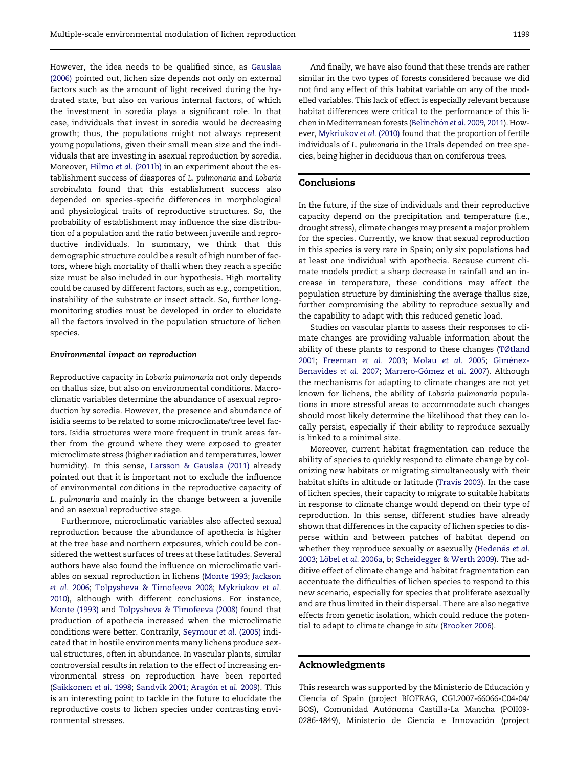However, the idea needs to be qualified since, as [Gauslaa](#page-8-0) [\(2006\)](#page-8-0) pointed out, lichen size depends not only on external factors such as the amount of light received during the hydrated state, but also on various internal factors, of which the investment in soredia plays a significant role. In that case, individuals that invest in soredia would be decreasing growth; thus, the populations might not always represent young populations, given their small mean size and the individuals that are investing in asexual reproduction by soredia. Moreover, Hilmo et al. [\(2011b\)](#page-8-0) in an experiment about the establishment success of diaspores of L. pulmonaria and Lobaria scrobiculata found that this establishment success also depended on species-specific differences in morphological and physiological traits of reproductive structures. So, the probability of establishment may influence the size distribution of a population and the ratio between juvenile and reproductive individuals. In summary, we think that this demographic structure could be a result of high number of factors, where high mortality of thalli when they reach a specific size must be also included in our hypothesis. High mortality could be caused by different factors, such as e.g., competition, instability of the substrate or insect attack. So, further longmonitoring studies must be developed in order to elucidate all the factors involved in the population structure of lichen species.

#### Environmental impact on reproduction

Reproductive capacity in Lobaria pulmonaria not only depends on thallus size, but also on environmental conditions. Macroclimatic variables determine the abundance of asexual reproduction by soredia. However, the presence and abundance of isidia seems to be related to some microclimate/tree level factors. Isidia structures were more frequent in trunk areas farther from the ground where they were exposed to greater microclimate stress (higher radiation and temperatures, lower humidity). In this sense, [Larsson & Gauslaa \(2011\)](#page-8-0) already pointed out that it is important not to exclude the influence of environmental conditions in the reproductive capacity of L. pulmonaria and mainly in the change between a juvenile and an asexual reproductive stage.

Furthermore, microclimatic variables also affected sexual reproduction because the abundance of apothecia is higher at the tree base and northern exposures, which could be considered the wettest surfaces of trees at these latitudes. Several authors have also found the influence on microclimatic variables on sexual reproduction in lichens [\(Monte 1993](#page-9-0); [Jackson](#page-8-0) [et al.](#page-8-0) 2006; [Tolpysheva & Timofeeva 2008](#page-9-0); [Mykriukov](#page-9-0) et al. [2010](#page-9-0)), although with different conclusions. For instance, [Monte \(1993\)](#page-9-0) and [Tolpysheva & Timofeeva \(2008\)](#page-9-0) found that production of apothecia increased when the microclimatic conditions were better. Contrarily, [Seymour](#page-9-0) et al. (2005) indicated that in hostile environments many lichens produce sexual structures, often in abundance. In vascular plants, similar controversial results in relation to the effect of increasing environmental stress on reproduction have been reported [\(Saikkonen](#page-9-0) et al. 1998; [Sandvik 2001;](#page-9-0) Aragón [et al.](#page-8-0) 2009). This is an interesting point to tackle in the future to elucidate the reproductive costs to lichen species under contrasting environmental stresses.

And finally, we have also found that these trends are rather similar in the two types of forests considered because we did not find any effect of this habitat variable on any of the modelled variables. This lack of effect is especially relevant because habitat differences were critical to the performance of this li-chen in Mediterranean forests ([Belinch](#page-8-0)ón et al. [2009](#page-8-0), [2011](#page-8-0)). However, [Mykriukov](#page-9-0) et al. (2010) found that the proportion of fertile individuals of L. pulmonaria in the Urals depended on tree species, being higher in deciduous than on coniferous trees.

#### Conclusions

In the future, if the size of individuals and their reproductive capacity depend on the precipitation and temperature (i.e., drought stress), climate changes may present a major problem for the species. Currently, we know that sexual reproduction in this species is very rare in Spain; only six populations had at least one individual with apothecia. Because current climate models predict a sharp decrease in rainfall and an increase in temperature, these conditions may affect the population structure by diminishing the average thallus size, further compromising the ability to reproduce sexually and the capability to adapt with this reduced genetic load.

Studies on vascular plants to assess their responses to climate changes are providing valuable information about the ability of these plants to respond to these changes [\(TØtland](#page-9-0) [2001](#page-9-0); [Freeman](#page-8-0) et al. 2003; [Molau](#page-9-0) et al. 2005; [Gim](#page-8-0)é[nez-](#page-8-0) [Benavides](#page-8-0) et al. 2007; [Marrero-G](#page-8-0)ómez [et al.](#page-8-0) 2007). Although the mechanisms for adapting to climate changes are not yet known for lichens, the ability of Lobaria pulmonaria populations in more stressful areas to accommodate such changes should most likely determine the likelihood that they can locally persist, especially if their ability to reproduce sexually is linked to a minimal size.

Moreover, current habitat fragmentation can reduce the ability of species to quickly respond to climate change by colonizing new habitats or migrating simultaneously with their habitat shifts in altitude or latitude [\(Travis 2003\)](#page-9-0). In the case of lichen species, their capacity to migrate to suitable habitats in response to climate change would depend on their type of reproduction. In this sense, different studies have already shown that differences in the capacity of lichen species to disperse within and between patches of habitat depend on whether they reproduce sexually or asexually ([Heden](#page-8-0)as [et al.](#page-8-0) [2003](#page-8-0); [L](#page-8-0)öbel et al. [2006a,](#page-8-0) [b;](#page-8-0) [Scheidegger & Werth 2009](#page-9-0)). The additive effect of climate change and habitat fragmentation can accentuate the difficulties of lichen species to respond to this new scenario, especially for species that proliferate asexually and are thus limited in their dispersal. There are also negative effects from genetic isolation, which could reduce the potential to adapt to climate change in situ [\(Brooker 2006](#page-8-0)).

#### Acknowledgments

This research was supported by the Ministerio de Educación y Ciencia of Spain (project BIOFRAG, CGL2007-66066-C04-04/ BOS), Comunidad Autonoma Castilla-La Mancha (POII09- 0286-4849), Ministerio de Ciencia e Innovación (project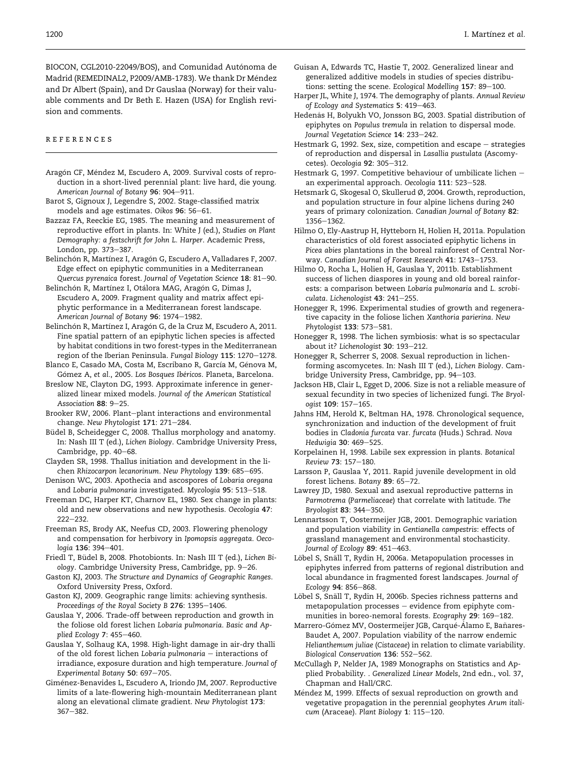<span id="page-8-0"></span>BIOCON, CGL2010-22049/BOS), and Comunidad Autónoma de Madrid (REMEDINAL2, P2009/AMB-1783). We thank Dr Mendez and Dr Albert (Spain), and Dr Gauslaa (Norway) for their valuable comments and Dr Beth E. Hazen (USA) for English revision and comments.

#### references

- Aragón CF, Méndez M, Escudero A, 2009. Survival costs of reproduction in a short-lived perennial plant: live hard, die young. American Journal of Botany 96: 904-911.
- Barot S, Gignoux J, Legendre S, 2002. Stage-classified matrix models and age estimates. Oikos 96: 56-61.
- Bazzaz FA, Reeckie EG, 1985. The meaning and measurement of reproductive effort in plants. In: White J (ed.), Studies on Plant Demography: a festschrift for John L. Harper. Academic Press, London, pp. 373-387.
- Belinchón R, Martínez I, Aragón G, Escudero A, Valladares F, 2007. Edge effect on epiphytic communities in a Mediterranean Quercus pyrenaica forest. Journal of Vegetation Science 18: 81-90.
- Belinchón R, Martínez I, Otálora MAG, Aragón G, Dimas J, Escudero A, 2009. Fragment quality and matrix affect epiphytic performance in a Mediterranean forest landscape. American Journal of Botany 96: 1974-1982.
- Belinchón R, Martínez I, Aragón G, de la Cruz M, Escudero A, 2011. Fine spatial pattern of an epiphytic lichen species is affected by habitat conditions in two forest-types in the Mediterranean region of the Iberian Peninsula. Fungal Biology 115: 1270-1278.
- Blanco E, Casado MA, Costa M, Escribano R, García M, Génova M, Gómez A, et al., 2005. Los Bosques Ibéricos. Planeta, Barcelona.
- Breslow NE, Clayton DG, 1993. Approximate inference in generalized linear mixed models. Journal of the American Statistical Association 88: 9-25.
- Brooker RW, 2006. Plant-plant interactions and environmental change. New Phytologist 171: 271-284.
- Büdel B, Scheidegger C, 2008. Thallus morphology and anatomy. In: Nash III T (ed.), Lichen Biology. Cambridge University Press, Cambridge, pp. 40-68.
- Clayden SR, 1998. Thallus initiation and development in the lichen Rhizocarpon lecanorinum. New Phytology 139: 685-695.
- Denison WC, 2003. Apothecia and ascospores of Lobaria oregana and Lobaria pulmonaria investigated. Mycologia 95: 513-518.
- Freeman DC, Harper KT, Charnov EL, 1980. Sex change in plants: old and new observations and new hypothesis. Oecologia 47:  $222 - 232$
- Freeman RS, Brody AK, Neefus CD, 2003. Flowering phenology and compensation for herbivory in Ipomopsis aggregata. Oecologia 136: 394-401.
- Friedl T, Büdel B, 2008. Photobionts. In: Nash III T (ed.), Lichen Biology. Cambridge University Press, Cambridge, pp. 9–26.
- Gaston KJ, 2003. The Structure and Dynamics of Geographic Ranges. Oxford University Press, Oxford.
- Gaston KJ, 2009. Geographic range limits: achieving synthesis. Proceedings of the Royal Society B 276: 1395-1406.
- Gauslaa Y, 2006. Trade-off between reproduction and growth in the foliose old forest lichen Lobaria pulmonaria. Basic and Applied Ecology  $7:455-460$ .
- Gauslaa Y, Solhaug KA, 1998. High-light damage in air-dry thalli of the old forest lichen Lobaria pulmonaria  $-$  interactions of irradiance, exposure duration and high temperature. Journal of Experimental Botany 50: 697-705.
- Gimenez-Benavides L, Escudero A, Iriondo JM, 2007. Reproductive limits of a late-flowering high-mountain Mediterranean plant along an elevational climate gradient. New Phytologist 173: 367-382.
- Guisan A, Edwards TC, Hastie T, 2002. Generalized linear and generalized additive models in studies of species distributions: setting the scene. Ecological Modelling 157: 89-100.
- Harper JL, White J, 1974. The demography of plants. Annual Review of Ecology and Systematics 5: 419-463.
- Hedenas H, Bolyukh VO, Jonsson BG, 2003. Spatial distribution of epiphytes on Populus tremula in relation to dispersal mode. Journal Vegetation Science 14: 233-242.
- Hestmark G, 1992. Sex, size, competition and escape  $-$  strategies of reproduction and dispersal in Lasallia pustulata (Ascomycetes). Oecologia 92: 305-312.
- Hestmark G, 1997. Competitive behaviour of umbilicate lichen an experimental approach. Oecologia 111: 523-528.
- Hetsmark G, Skogesal O, Skullerud Ø, 2004. Growth, reproduction, and population structure in four alpine lichens during 240 years of primary colonization. Canadian Journal of Botany 82: 1356-1362.
- Hilmo O, Ely-Aastrup H, Hytteborn H, Holien H, 2011a. Population characteristics of old forest associated epiphytic lichens in Picea abies plantations in the boreal rainforest of Central Norway. Canadian Journal of Forest Research 41: 1743-1753.
- Hilmo O, Rocha L, Holien H, Gauslaa Y, 2011b. Establishment success of lichen diaspores in young and old boreal rainforests: a comparison between Lobaria pulmonaria and L. scrobiculata. Lichenologist 43: 241-255.
- Honegger R, 1996. Experimental studies of growth and regenerative capacity in the foliose lichen Xanthoria parierina. New Phytologist 133: 573-581.
- Honegger R, 1998. The lichen symbiosis: what is so spectacular about it? Lichenologist 30: 193-212.
- Honegger R, Scherrer S, 2008. Sexual reproduction in lichenforming ascomycetes. In: Nash III T (ed.), Lichen Biology. Cambridge University Press, Cambridge, pp. 94-103.
- Jackson HB, Clair L, Egget D, 2006. Size is not a reliable measure of sexual fecundity in two species of lichenized fungi. The Bryologist 109: 157-165.
- Jahns HM, Herold K, Beltman HA, 1978. Chronological sequence, synchronization and induction of the development of fruit bodies in Cladonia furcata var. furcata (Huds.) Schrad. Nova Hedwigia 30: 469-525.
- Korpelainen H, 1998. Labile sex expression in plants. Botanical Review 73: 157-180.
- Larsson P, Gauslaa Y, 2011. Rapid juvenile development in old forest lichens. Botany 89: 65-72.
- Lawrey JD, 1980. Sexual and asexual reproductive patterns in Parmotrema (Parmeliaceae) that correlate with latitude. The Bryologist 83: 344-350.
- Lennartsson T, Oostermeijer JGB, 2001. Demographic variation and population viability in Gentianella campestris: effects of grassland management and environmental stochasticity. Journal of Ecology 89: 451-463.
- Löbel S, Snäll T, Rydin H, 2006a. Metapopulation processes in epiphytes inferred from patterns of regional distribution and local abundance in fragmented forest landscapes. Journal of Ecology 94: 856-868
- Löbel S, Snäll T, Rydin H, 2006b. Species richness patterns and metapopulation processes - evidence from epiphyte communities in boreo-nemoral forests. Ecography 29: 169-182.
- Marrero-Gómez MV, Oostermeijer JGB, Carqué-Álamo E, Bañares-Baudet A, 2007. Population viability of the narrow endemic Helianthemum juliae (Cistaceae) in relation to climate variability. Biological Conservation 136: 552-562.
- McCullagh P, Nelder JA, 1989 Monographs on Statistics and Applied Probability. . Generalized Linear Models, 2nd edn., vol. 37, Chapman and Hall/CRC.
- Mendez M, 1999. Effects of sexual reproduction on growth and vegetative propagation in the perennial geophytes Arum italicum (Araceae). Plant Biology 1: 115-120.